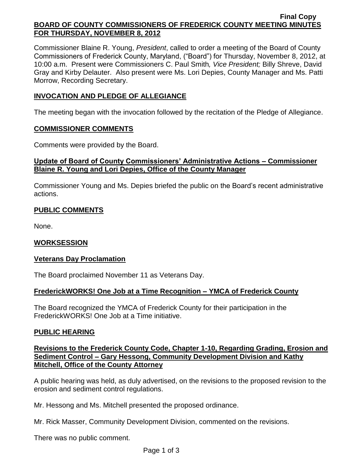#### **Final Copy BOARD OF COUNTY COMMISSIONERS OF FREDERICK COUNTY MEETING MINUTES FOR THURSDAY, NOVEMBER 8, 2012**

Commissioner Blaine R. Young, *President*, called to order a meeting of the Board of County Commissioners of Frederick County, Maryland, ("Board") for Thursday, November 8, 2012, at 10:00 a.m. Present were Commissioners C. Paul Smith*, Vice President;* Billy Shreve, David Gray and Kirby Delauter. Also present were Ms. Lori Depies, County Manager and Ms. Patti Morrow, Recording Secretary.

## **INVOCATION AND PLEDGE OF ALLEGIANCE**

The meeting began with the invocation followed by the recitation of the Pledge of Allegiance.

### **COMMISSIONER COMMENTS**

Comments were provided by the Board.

## **Update of Board of County Commissioners' Administrative Actions – Commissioner Blaine R. Young and Lori Depies, Office of the County Manager**

Commissioner Young and Ms. Depies briefed the public on the Board's recent administrative actions.

# **PUBLIC COMMENTS**

None.

# **WORKSESSION**

# **Veterans Day Proclamation**

The Board proclaimed November 11 as Veterans Day.

# **FrederickWORKS! One Job at a Time Recognition – YMCA of Frederick County**

The Board recognized the YMCA of Frederick County for their participation in the FrederickWORKS! One Job at a Time initiative.

### **PUBLIC HEARING**

**Revisions to the Frederick County Code, Chapter 1-10, Regarding Grading, Erosion and Sediment Control – Gary Hessong, Community Development Division and Kathy Mitchell, Office of the County Attorney**

A public hearing was held, as duly advertised, on the revisions to the proposed revision to the erosion and sediment control regulations.

Mr. Hessong and Ms. Mitchell presented the proposed ordinance.

Mr. Rick Masser, Community Development Division, commented on the revisions.

There was no public comment.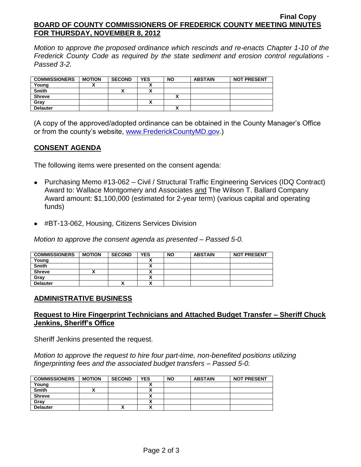#### **Final Copy BOARD OF COUNTY COMMISSIONERS OF FREDERICK COUNTY MEETING MINUTES FOR THURSDAY, NOVEMBER 8, 2012**

*Motion to approve the proposed ordinance which rescinds and re-enacts Chapter 1-10 of the Frederick County Code as required by the state sediment and erosion control regulations - Passed 3-2.*

| <b>COMMISSIONERS</b> | <b>MOTION</b> | <b>SECOND</b> | <b>YES</b> | <b>NO</b> | <b>ABSTAIN</b> | <b>NOT PRESENT</b> |
|----------------------|---------------|---------------|------------|-----------|----------------|--------------------|
| Young                |               |               |            |           |                |                    |
| <b>Smith</b>         |               |               |            |           |                |                    |
| <b>Shreve</b>        |               |               |            |           |                |                    |
| Gray                 |               |               |            |           |                |                    |
| <b>Delauter</b>      |               |               |            |           |                |                    |

(A copy of the approved/adopted ordinance can be obtained in the County Manager's Office or from the county's website, [www.FrederickCountyMD.gov.](http://www.frederickcountymd.gov/))

## **CONSENT AGENDA**

The following items were presented on the consent agenda:

- Purchasing Memo #13-062 Civil / Structural Traffic Engineering Services (IDQ Contract) Award to: Wallace Montgomery and Associates and The Wilson T. Ballard Company Award amount: \$1,100,000 (estimated for 2-year term) (various capital and operating funds)
- #BT-13-062, Housing, Citizens Services Division

*Motion to approve the consent agenda as presented – Passed 5-0.*

| <b>COMMISSIONERS</b> | <b>MOTION</b> | <b>SECOND</b> | <b>YES</b> | <b>NO</b> | <b>ABSTAIN</b> | <b>NOT PRESENT</b> |
|----------------------|---------------|---------------|------------|-----------|----------------|--------------------|
| Young                |               |               |            |           |                |                    |
| <b>Smith</b>         |               |               | ^          |           |                |                    |
| <b>Shreve</b>        |               |               | ~          |           |                |                    |
| Grav                 |               |               |            |           |                |                    |
| <b>Delauter</b>      |               | "             | $\cdot$    |           |                |                    |

### **ADMINISTRATIVE BUSINESS**

### **Request to Hire Fingerprint Technicians and Attached Budget Transfer – Sheriff Chuck Jenkins, Sheriff's Office**

Sheriff Jenkins presented the request.

*Motion to approve the request to hire four part-time, non-benefited positions utilizing fingerprinting fees and the associated budget transfers – Passed 5-0.*

| <b>COMMISSIONERS</b> | <b>MOTION</b> | <b>SECOND</b> | <b>YES</b>               | <b>NO</b> | <b>ABSTAIN</b> | <b>NOT PRESENT</b> |
|----------------------|---------------|---------------|--------------------------|-----------|----------------|--------------------|
| Young                |               |               |                          |           |                |                    |
| <b>Smith</b>         |               |               |                          |           |                |                    |
| <b>Shreve</b>        |               |               |                          |           |                |                    |
| Grav                 |               |               |                          |           |                |                    |
| <b>Delauter</b>      |               | "             | $\ddot{\phantom{a}}$<br> |           |                |                    |